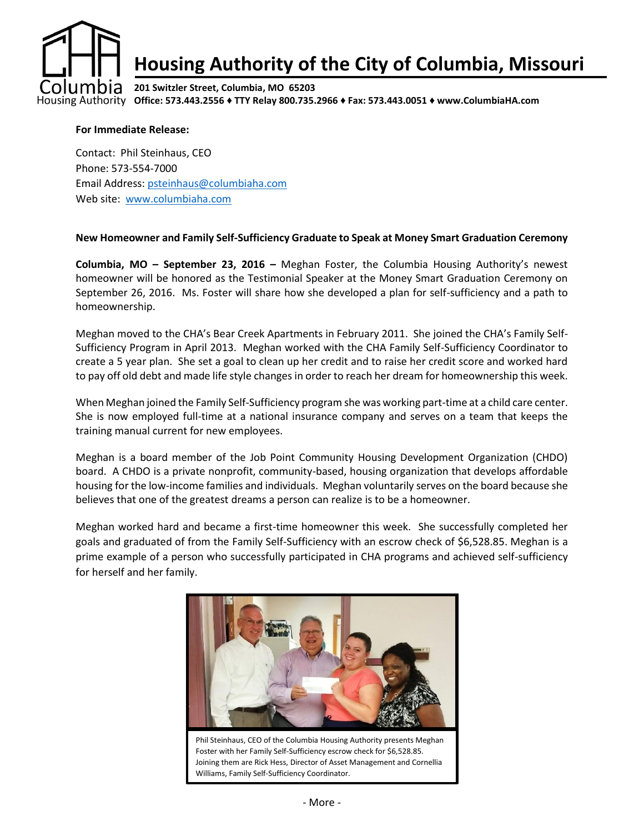

#### **Office: 573.443.2556 ♦ TTY Relay 800.735.2966 ♦ Fax: 573.443.0051 ♦ www.ColumbiaHA.com**

### **For Immediate Release:**

Contact: Phil Steinhaus, CEO Phone: 573-554-7000 Email Address: [psteinhaus@columbiaha.com](mailto:psteinhaus@columbiaha.com) Web site: [www.columbiaha.com](http://www.columbiaha.com/)

## **New Homeowner and Family Self-Sufficiency Graduate to Speak at Money Smart Graduation Ceremony**

**Columbia, MO – September 23, 2016 –** Meghan Foster, the Columbia Housing Authority's newest homeowner will be honored as the Testimonial Speaker at the Money Smart Graduation Ceremony on September 26, 2016. Ms. Foster will share how she developed a plan for self-sufficiency and a path to homeownership.

Meghan moved to the CHA's Bear Creek Apartments in February 2011. She joined the CHA's Family Self-Sufficiency Program in April 2013. Meghan worked with the CHA Family Self-Sufficiency Coordinator to create a 5 year plan. She set a goal to clean up her credit and to raise her credit score and worked hard to pay off old debt and made life style changes in order to reach her dream for homeownership this week.

When Meghan joined the Family Self-Sufficiency program she was working part-time at a child care center. She is now employed full-time at a national insurance company and serves on a team that keeps the training manual current for new employees.

Meghan is a board member of the Job Point Community Housing Development Organization (CHDO) board. A CHDO is a private nonprofit, community-based, housing organization that develops affordable housing for the low-income families and individuals. Meghan voluntarily serves on the board because she believes that one of the greatest dreams a person can realize is to be a homeowner.

Meghan worked hard and became a first-time homeowner this week. She successfully completed her goals and graduated of from the Family Self-Sufficiency with an escrow check of \$6,528.85. Meghan is a prime example of a person who successfully participated in CHA programs and achieved self-sufficiency for herself and her family.